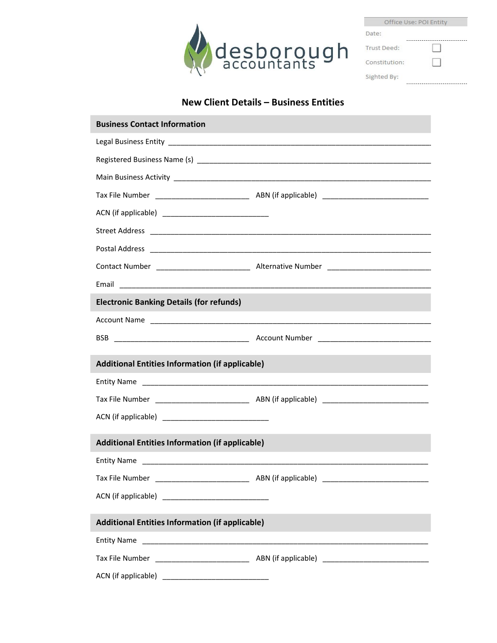

|               | Office Use: POI Entity |
|---------------|------------------------|
| Date:         |                        |
|               |                        |
| Trust Deed:   |                        |
| Constitution: |                        |
|               |                        |
|               |                        |
| Sighted By:   |                        |
|               |                        |

## New Client Details – Business Entities

| <b>Business Contact Information</b>                    |  |
|--------------------------------------------------------|--|
|                                                        |  |
|                                                        |  |
|                                                        |  |
|                                                        |  |
|                                                        |  |
|                                                        |  |
|                                                        |  |
|                                                        |  |
|                                                        |  |
| <b>Electronic Banking Details (for refunds)</b>        |  |
|                                                        |  |
|                                                        |  |
| <b>Additional Entities Information (if applicable)</b> |  |
|                                                        |  |
|                                                        |  |
|                                                        |  |
| <b>Additional Entities Information (if applicable)</b> |  |
|                                                        |  |
|                                                        |  |
| ACN (if applicable)                                    |  |
| <b>Additional Entities Information (if applicable)</b> |  |
|                                                        |  |
| <b>Entity Name</b>                                     |  |
|                                                        |  |
|                                                        |  |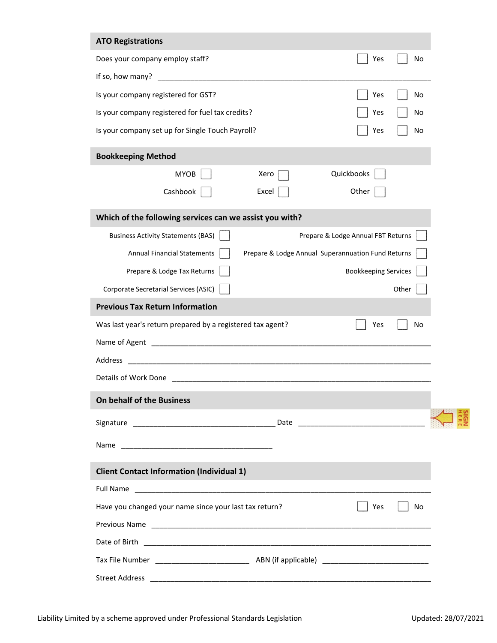| <b>ATO Registrations</b>                                   |                                                    |                                    |       |
|------------------------------------------------------------|----------------------------------------------------|------------------------------------|-------|
| Does your company employ staff?                            |                                                    | Yes                                | No    |
| If so, how many?                                           |                                                    |                                    |       |
| Is your company registered for GST?                        |                                                    | Yes                                | No    |
| Is your company registered for fuel tax credits?           |                                                    | Yes                                | No    |
| Is your company set up for Single Touch Payroll?           |                                                    | Yes                                | No    |
| <b>Bookkeeping Method</b>                                  |                                                    |                                    |       |
| <b>MYOB</b>                                                | Xero                                               | Quickbooks                         |       |
| Cashbook                                                   | Excel                                              | Other                              |       |
| Which of the following services can we assist you with?    |                                                    |                                    |       |
| <b>Business Activity Statements (BAS)</b>                  |                                                    | Prepare & Lodge Annual FBT Returns |       |
| <b>Annual Financial Statements</b>                         | Prepare & Lodge Annual Superannuation Fund Returns |                                    |       |
| Prepare & Lodge Tax Returns                                |                                                    | <b>Bookkeeping Services</b>        |       |
| Corporate Secretarial Services (ASIC)                      |                                                    |                                    | Other |
| <b>Previous Tax Return Information</b>                     |                                                    |                                    |       |
| Was last year's return prepared by a registered tax agent? |                                                    | Yes                                | No    |
|                                                            |                                                    |                                    |       |
| Address                                                    |                                                    |                                    |       |
| Details of Work Done                                       |                                                    |                                    |       |
| On behalf of the Business                                  |                                                    |                                    |       |
|                                                            |                                                    |                                    |       |
|                                                            |                                                    |                                    |       |
|                                                            |                                                    |                                    |       |
| <b>Client Contact Information (Individual 1)</b>           |                                                    |                                    |       |
|                                                            |                                                    |                                    |       |
| Have you changed your name since your last tax return?     |                                                    | Yes                                | No    |
|                                                            |                                                    |                                    |       |
|                                                            |                                                    |                                    |       |
|                                                            |                                                    |                                    |       |
|                                                            |                                                    |                                    |       |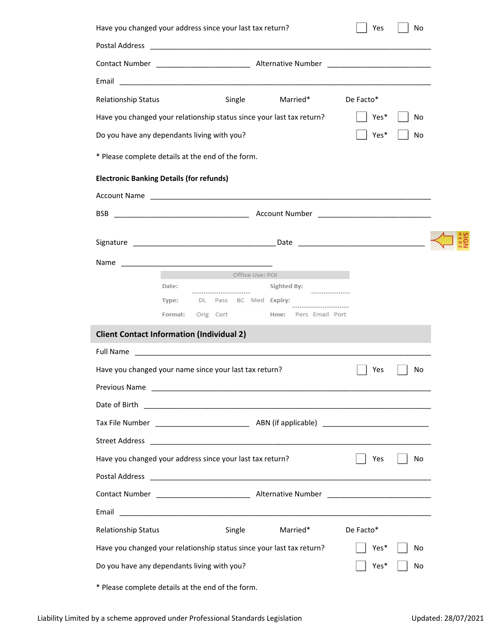| Have you changed your address since your last tax return? |                  |                                                        |                                                                                                                       | Yes          | No       |  |
|-----------------------------------------------------------|------------------|--------------------------------------------------------|-----------------------------------------------------------------------------------------------------------------------|--------------|----------|--|
|                                                           |                  |                                                        |                                                                                                                       |              |          |  |
|                                                           |                  |                                                        |                                                                                                                       |              |          |  |
|                                                           |                  |                                                        |                                                                                                                       |              |          |  |
| Relationship Status                                       |                  | Single                                                 | Married*                                                                                                              | De Facto*    |          |  |
|                                                           |                  |                                                        | Have you changed your relationship status since your last tax return?                                                 | Yes*         | No       |  |
| Do you have any dependants living with you?               |                  |                                                        |                                                                                                                       | Yes*         | No       |  |
| * Please complete details at the end of the form.         |                  |                                                        |                                                                                                                       |              |          |  |
| <b>Electronic Banking Details (for refunds)</b>           |                  |                                                        |                                                                                                                       |              |          |  |
|                                                           |                  |                                                        |                                                                                                                       |              |          |  |
| BSB.                                                      |                  |                                                        |                                                                                                                       |              |          |  |
|                                                           |                  |                                                        |                                                                                                                       |              |          |  |
|                                                           |                  |                                                        |                                                                                                                       |              |          |  |
|                                                           |                  |                                                        |                                                                                                                       |              |          |  |
|                                                           |                  | Office Use: POI                                        |                                                                                                                       |              |          |  |
|                                                           | Date:            | DL Pass BC Med Expiry:                                 | Sighted By:                                                                                                           |              |          |  |
|                                                           | Type:<br>Format: |                                                        | Orig Cert How: Pers Email Port                                                                                        |              |          |  |
| <b>Client Contact Information (Individual 2)</b>          |                  |                                                        |                                                                                                                       |              |          |  |
| <b>Full Name</b>                                          |                  |                                                        |                                                                                                                       |              |          |  |
|                                                           |                  | Have you changed your name since your last tax return? | <u> 1989 - Johann Harry Harry Harry Harry Harry Harry Harry Harry Harry Harry Harry Harry Harry Harry Harry Harry</u> | Yes          | No       |  |
| Previous Name                                             |                  |                                                        |                                                                                                                       |              |          |  |
| Date of Birth                                             |                  |                                                        |                                                                                                                       |              |          |  |
|                                                           |                  |                                                        |                                                                                                                       |              |          |  |
| <b>Street Address</b>                                     |                  |                                                        |                                                                                                                       |              |          |  |
| Have you changed your address since your last tax return? |                  |                                                        |                                                                                                                       | Yes          | No       |  |
|                                                           |                  |                                                        |                                                                                                                       |              |          |  |
|                                                           |                  |                                                        |                                                                                                                       |              |          |  |
| Email                                                     |                  |                                                        |                                                                                                                       |              |          |  |
|                                                           |                  |                                                        |                                                                                                                       |              |          |  |
| <b>Relationship Status</b>                                |                  | Single                                                 | Married*                                                                                                              | De Facto*    |          |  |
|                                                           |                  |                                                        |                                                                                                                       |              |          |  |
| Do you have any dependants living with you?               |                  |                                                        | Have you changed your relationship status since your last tax return?                                                 | Yes*<br>Yes* | No<br>No |  |
| * Please complete details at the end of the form.         |                  |                                                        |                                                                                                                       |              |          |  |